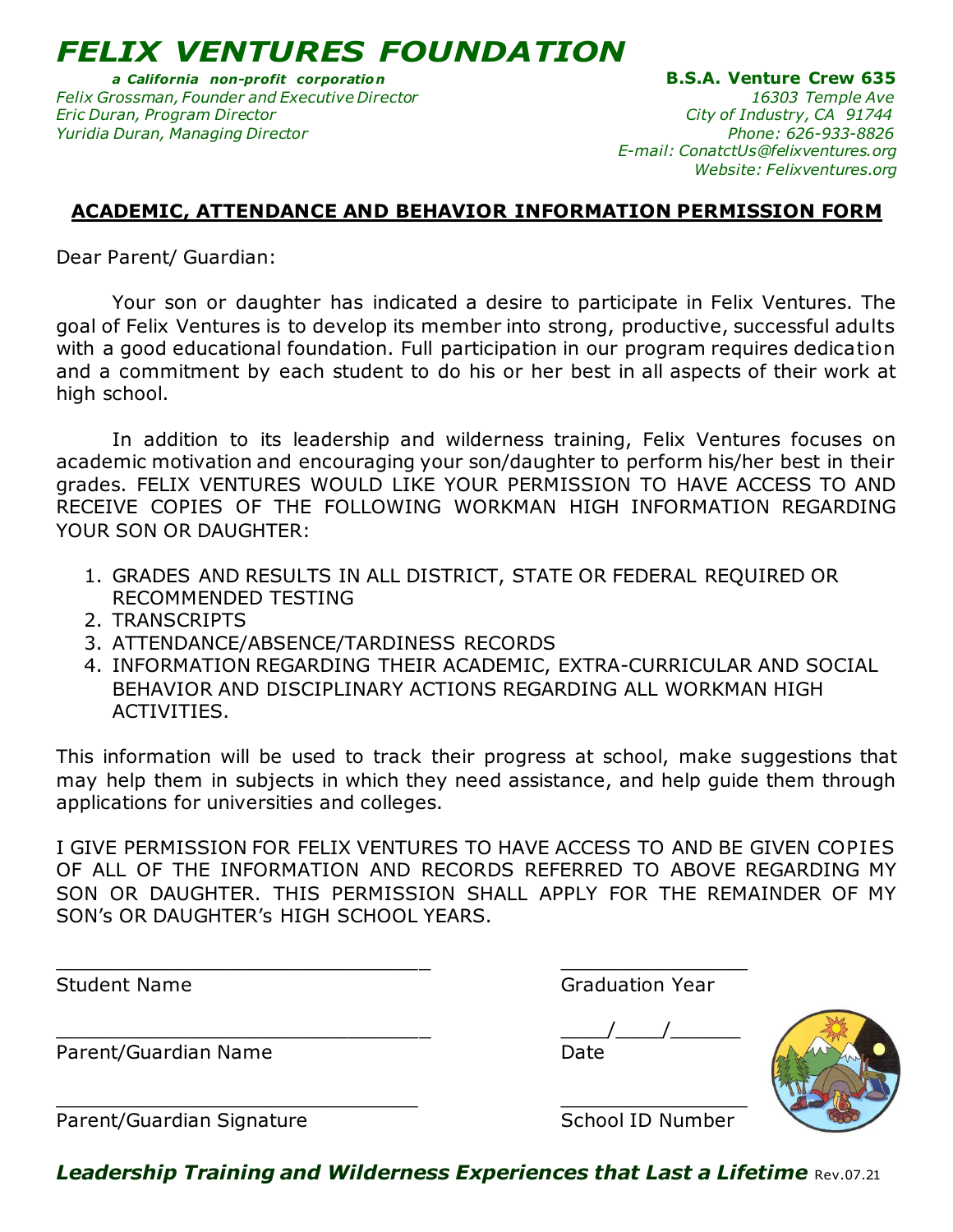*FELIX VENTURES FOUNDATION* 

*Felix Grossman, Founder and Executive Director 16303 Temple Ave Eric Duran, Program Director City of Industry, CA 91744 Yuridia Duran, Managing Director Phone: 626-933-8826*

*a California non-profit corporatio n* **B.S.A. Venture Crew 635**   *E-mail: ConatctUs@felixventures.org Website: Felixventures.org*

## **ACADEMIC, ATTENDANCE AND BEHAVIOR INFORMATION PERMISSION FORM**

Dear Parent/ Guardian:

Your son or daughter has indicated a desire to participate in Felix Ventures. The goal of Felix Ventures is to develop its member into strong, productive, successful adults with a good educational foundation. Full participation in our program requires dedication and a commitment by each student to do his or her best in all aspects of their work at high school.

In addition to its leadership and wilderness training, Felix Ventures focuses on academic motivation and encouraging your son/daughter to perform his/her best in their grades. FELIX VENTURES WOULD LIKE YOUR PERMISSION TO HAVE ACCESS TO AND RECEIVE COPIES OF THE FOLLOWING WORKMAN HIGH INFORMATION REGARDING YOUR SON OR DAUGHTER:

- 1. GRADES AND RESULTS IN ALL DISTRICT, STATE OR FEDERAL REQUIRED OR RECOMMENDED TESTING
- 2. TRANSCRIPTS
- 3. ATTENDANCE/ABSENCE/TARDINESS RECORDS
- 4. INFORMATION REGARDING THEIR ACADEMIC, EXTRA-CURRICULAR AND SOCIAL BEHAVIOR AND DISCIPLINARY ACTIONS REGARDING ALL WORKMAN HIGH ACTIVITIES.

This information will be used to track their progress at school, make suggestions that may help them in subjects in which they need assistance, and help guide them through applications for universities and colleges.

I GIVE PERMISSION FOR FELIX VENTURES TO HAVE ACCESS TO AND BE GIVEN COPIES OF ALL OF THE INFORMATION AND RECORDS REFERRED TO ABOVE REGARDING MY SON OR DAUGHTER. THIS PERMISSION SHALL APPLY FOR THE REMAINDER OF MY SON's OR DAUGHTER's HIGH SCHOOL YEARS.

\_\_\_\_\_\_\_\_\_\_\_\_\_\_\_\_\_\_\_\_\_\_\_\_\_\_\_\_\_\_\_\_ \_\_\_\_\_\_\_\_\_\_\_\_\_\_\_\_

\_\_\_\_\_\_\_\_\_\_\_\_\_\_\_\_\_\_\_\_\_\_\_\_\_\_\_\_\_\_\_ \_\_\_\_\_\_\_\_\_\_\_\_\_\_\_\_

Parent/Guardian Name Date

Student Name Graduation Year

\_\_\_\_\_\_\_\_\_\_\_\_\_\_\_\_\_\_\_\_\_\_\_\_\_\_\_\_\_\_\_\_ \_\_\_\_/\_\_\_\_/\_\_\_\_\_\_



Parent/Guardian Signature School ID Number

*Leadership Training and Wilderness Experiences that Last a Lifetime* Rev.07.21